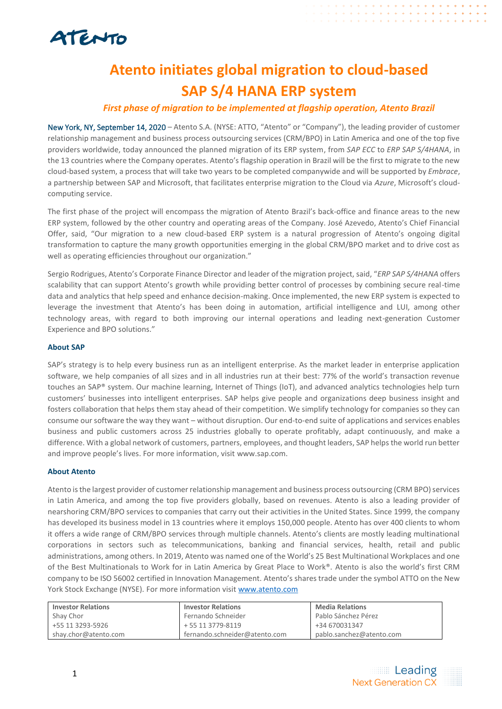

## **Atento initiates global migration to cloud-based SAP S/4 HANA ERP system**

### *First phase of migration to be implemented at flagship operation, Atento Brazil*

New York, NY, September 14, 2020 – Atento S.A. (NYSE: ATTO, "Atento" or "Company"), the leading provider of customer relationship management and business process outsourcing services (CRM/BPO) in Latin America and one of the top five providers worldwide, today announced the planned migration of its ERP system, from *SAP ECC* to *ERP SAP S/4HANA*, in the 13 countries where the Company operates. Atento's flagship operation in Brazil will be the first to migrate to the new cloud-based system, a process that will take two years to be completed companywide and will be supported by *Embrace*, a partnership between SAP and Microsoft, that facilitates enterprise migration to the Cloud via *Azure*, Microsoft's cloudcomputing service.

The first phase of the project will encompass the migration of Atento Brazil's back-office and finance areas to the new ERP system, followed by the other country and operating areas of the Company. José Azevedo, Atento's Chief Financial Offer, said, "Our migration to a new cloud-based ERP system is a natural progression of Atento's ongoing digital transformation to capture the many growth opportunities emerging in the global CRM/BPO market and to drive cost as well as operating efficiencies throughout our organization."

Sergio Rodrigues, Atento's Corporate Finance Director and leader of the migration project, said, "*ERP SAP S/4HANA* offers scalability that can support Atento's growth while providing better control of processes by combining secure real-time data and analytics that help speed and enhance decision-making. Once implemented, the new ERP system is expected to leverage the investment that Atento's has been doing in automation, artificial intelligence and LUI, among other technology areas, with regard to both improving our internal operations and leading next-generation Customer Experience and BPO solutions."

#### **About SAP**

SAP's strategy is to help every business run as an intelligent enterprise. As the market leader in enterprise application software, we help companies of all sizes and in all industries run at their best: 77% of the world's transaction revenue touches an SAP® system. Our machine learning, Internet of Things (IoT), and advanced analytics technologies help turn customers' businesses into intelligent enterprises. SAP helps give people and organizations deep business insight and fosters collaboration that helps them stay ahead of their competition. We simplify technology for companies so they can consume our software the way they want – without disruption. Our end-to-end suite of applications and services enables business and public customers across 25 industries globally to operate profitably, adapt continuously, and make a difference. With a global network of customers, partners, employees, and thought leaders, SAP helps the world run better and improve people's lives. For more information, visit [www.sap.com.](http://www.sap.com/)

#### **About Atento**

Atento is the largest provider of customer relationship management and business process outsourcing (CRM BPO) services in Latin America, and among the top five providers globally, based on revenues. Atento is also a leading provider of nearshoring CRM/BPO services to companies that carry out their activities in the United States. Since 1999, the company has developed its business model in 13 countries where it employs 150,000 people. Atento has over 400 clients to whom it offers a wide range of CRM/BPO services through multiple channels. Atento's clients are mostly leading multinational corporations in sectors such as telecommunications, banking and financial services, health, retail and public administrations, among others. In 2019, Atento was named one of the World's 25 Best Multinational Workplaces and one of the Best Multinationals to Work for in Latin America by Great Place to Work®. Atento is also the world's first CRM company to be ISO 56002 certified in Innovation Management. Atento's shares trade under the symbol ATTO on the New York Stock Exchange (NYSE). For more information visit [www.atento.com](http://www.atento.com/)

| <b>Investor Relations</b> | <b>Investor Relations</b>     | <b>Media Relations</b>   |
|---------------------------|-------------------------------|--------------------------|
| Shay Chor                 | Fernando Schneider            | Pablo Sánchez Pérez      |
| +55 11 3293-5926          | + 55 11 3779-8119             | +34 670031347            |
| shay.chor@atento.com      | fernando.schneider@atento.com | pablo.sanchez@atento.com |

. . . . . . . . . . . . .